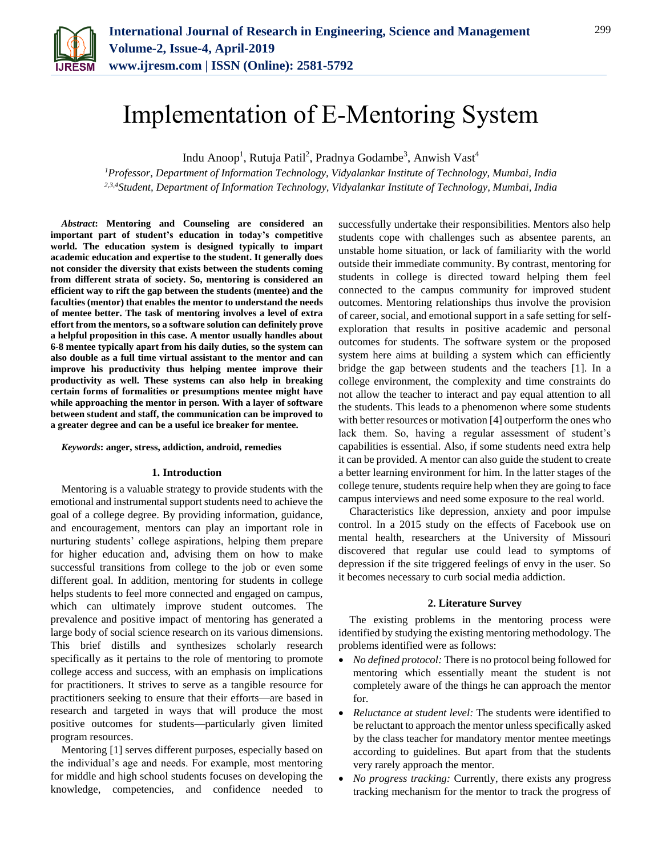

# Implementation of E-Mentoring System

Indu Anoop<sup>1</sup>, Rutuja Patil<sup>2</sup>, Pradnya Godambe<sup>3</sup>, Anwish Vast<sup>4</sup>

*<sup>1</sup>Professor, Department of Information Technology, Vidyalankar Institute of Technology, Mumbai, India 2,3,4Student, Department of Information Technology, Vidyalankar Institute of Technology, Mumbai, India*

*Abstract***: Mentoring and Counseling are considered an important part of student's education in today's competitive world. The education system is designed typically to impart academic education and expertise to the student. It generally does not consider the diversity that exists between the students coming from different strata of society. So, mentoring is considered an efficient way to rift the gap between the students (mentee) and the faculties (mentor) that enables the mentor to understand the needs of mentee better. The task of mentoring involves a level of extra effort from the mentors, so a software solution can definitely prove a helpful proposition in this case. A mentor usually handles about 6-8 mentee typically apart from his daily duties, so the system can also double as a full time virtual assistant to the mentor and can improve his productivity thus helping mentee improve their productivity as well. These systems can also help in breaking certain forms of formalities or presumptions mentee might have while approaching the mentor in person. With a layer of software between student and staff, the communication can be improved to a greater degree and can be a useful ice breaker for mentee.**

### *Keywords***: anger, stress, addiction, android, remedies**

#### **1. Introduction**

Mentoring is a valuable strategy to provide students with the emotional and instrumental support students need to achieve the goal of a college degree. By providing information, guidance, and encouragement, mentors can play an important role in nurturing students' college aspirations, helping them prepare for higher education and, advising them on how to make successful transitions from college to the job or even some different goal. In addition, mentoring for students in college helps students to feel more connected and engaged on campus, which can ultimately improve student outcomes. The prevalence and positive impact of mentoring has generated a large body of social science research on its various dimensions. This brief distills and synthesizes scholarly research specifically as it pertains to the role of mentoring to promote college access and success, with an emphasis on implications for practitioners. It strives to serve as a tangible resource for practitioners seeking to ensure that their efforts—are based in research and targeted in ways that will produce the most positive outcomes for students—particularly given limited program resources.

Mentoring [1] serves different purposes, especially based on the individual's age and needs. For example, most mentoring for middle and high school students focuses on developing the knowledge, competencies, and confidence needed to successfully undertake their responsibilities. Mentors also help students cope with challenges such as absentee parents, an unstable home situation, or lack of familiarity with the world outside their immediate community. By contrast, mentoring for students in college is directed toward helping them feel connected to the campus community for improved student outcomes. Mentoring relationships thus involve the provision of career, social, and emotional support in a safe setting for selfexploration that results in positive academic and personal outcomes for students. The software system or the proposed system here aims at building a system which can efficiently bridge the gap between students and the teachers [1]. In a college environment, the complexity and time constraints do not allow the teacher to interact and pay equal attention to all the students. This leads to a phenomenon where some students with better resources or motivation [4] outperform the ones who lack them. So, having a regular assessment of student's capabilities is essential. Also, if some students need extra help it can be provided. A mentor can also guide the student to create a better learning environment for him. In the latter stages of the college tenure, students require help when they are going to face campus interviews and need some exposure to the real world.

Characteristics like depression, anxiety and poor impulse control. In a 2015 study on the effects of Facebook use on mental health, researchers at the University of Missouri discovered that regular use could lead to symptoms of depression if the site triggered feelings of envy in the user. So it becomes necessary to curb social media addiction.

## **2. Literature Survey**

The existing problems in the mentoring process were identified by studying the existing mentoring methodology. The problems identified were as follows:

- *No defined protocol:* There is no protocol being followed for mentoring which essentially meant the student is not completely aware of the things he can approach the mentor for.
- *Reluctance at student level:* The students were identified to be reluctant to approach the mentor unless specifically asked by the class teacher for mandatory mentor mentee meetings according to guidelines. But apart from that the students very rarely approach the mentor.
- *No progress tracking:* Currently, there exists any progress tracking mechanism for the mentor to track the progress of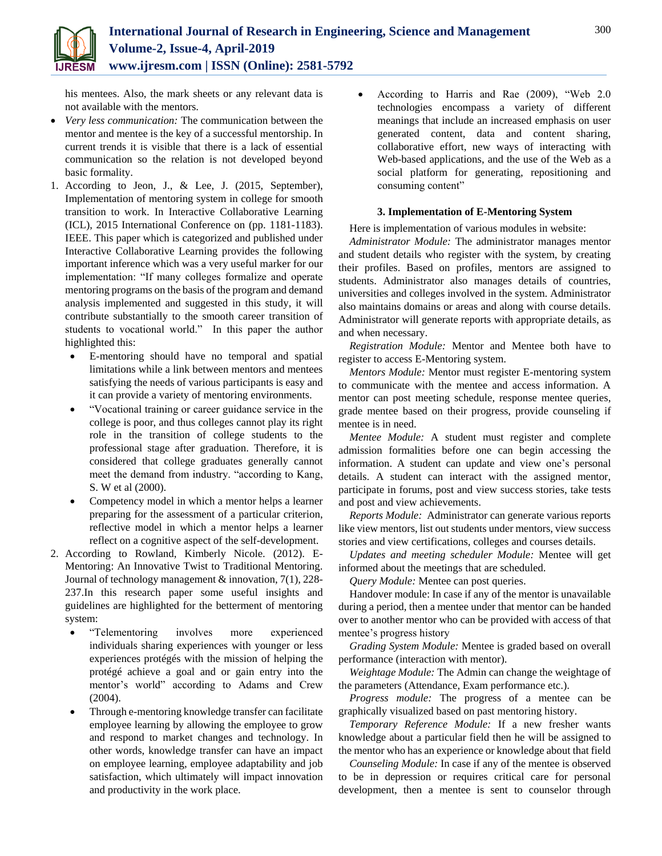his mentees. Also, the mark sheets or any relevant data is not available with the mentors.

- *Very less communication:* The communication between the mentor and mentee is the key of a successful mentorship. In current trends it is visible that there is a lack of essential communication so the relation is not developed beyond basic formality.
- 1. According to Jeon, J., & Lee, J. (2015, September), Implementation of mentoring system in college for smooth transition to work. In Interactive Collaborative Learning (ICL), 2015 International Conference on (pp. 1181-1183). IEEE. This paper which is categorized and published under Interactive Collaborative Learning provides the following important inference which was a very useful marker for our implementation: "If many colleges formalize and operate mentoring programs on the basis of the program and demand analysis implemented and suggested in this study, it will contribute substantially to the smooth career transition of students to vocational world." In this paper the author highlighted this:
	- E-mentoring should have no temporal and spatial limitations while a link between mentors and mentees satisfying the needs of various participants is easy and it can provide a variety of mentoring environments.
	- "Vocational training or career guidance service in the college is poor, and thus colleges cannot play its right role in the transition of college students to the professional stage after graduation. Therefore, it is considered that college graduates generally cannot meet the demand from industry. "according to Kang, S. W et al (2000).
	- Competency model in which a mentor helps a learner preparing for the assessment of a particular criterion, reflective model in which a mentor helps a learner reflect on a cognitive aspect of the self-development.
- 2. According to Rowland, Kimberly Nicole. (2012). E-Mentoring: An Innovative Twist to Traditional Mentoring. Journal of technology management & innovation, 7(1), 228- 237.In this research paper some useful insights and guidelines are highlighted for the betterment of mentoring system:
	- "Telementoring involves more experienced individuals sharing experiences with younger or less experiences protégés with the mission of helping the protégé achieve a goal and or gain entry into the mentor's world" according to Adams and Crew (2004).
	- Through e-mentoring knowledge transfer can facilitate employee learning by allowing the employee to grow and respond to market changes and technology. In other words, knowledge transfer can have an impact on employee learning, employee adaptability and job satisfaction, which ultimately will impact innovation and productivity in the work place.

 According to Harris and Rae (2009), "Web 2.0 technologies encompass a variety of different meanings that include an increased emphasis on user generated content, data and content sharing, collaborative effort, new ways of interacting with Web-based applications, and the use of the Web as a social platform for generating, repositioning and consuming content"

# **3. Implementation of E-Mentoring System**

Here is implementation of various modules in website:

*Administrator Module:* The administrator manages mentor and student details who register with the system, by creating their profiles. Based on profiles, mentors are assigned to students. Administrator also manages details of countries, universities and colleges involved in the system. Administrator also maintains domains or areas and along with course details. Administrator will generate reports with appropriate details, as and when necessary.

*Registration Module:* Mentor and Mentee both have to register to access E-Mentoring system.

*Mentors Module:* Mentor must register E-mentoring system to communicate with the mentee and access information. A mentor can post meeting schedule, response mentee queries, grade mentee based on their progress, provide counseling if mentee is in need.

*Mentee Module:* A student must register and complete admission formalities before one can begin accessing the information. A student can update and view one's personal details. A student can interact with the assigned mentor, participate in forums, post and view success stories, take tests and post and view achievements.

*Reports Module:* Administrator can generate various reports like view mentors, list out students under mentors, view success stories and view certifications, colleges and courses details.

*Updates and meeting scheduler Module:* Mentee will get informed about the meetings that are scheduled.

*Query Module:* Mentee can post queries.

Handover module: In case if any of the mentor is unavailable during a period, then a mentee under that mentor can be handed over to another mentor who can be provided with access of that mentee's progress history

*Grading System Module:* Mentee is graded based on overall performance (interaction with mentor).

*Weightage Module:* The Admin can change the weightage of the parameters (Attendance, Exam performance etc.).

*Progress module:* The progress of a mentee can be graphically visualized based on past mentoring history.

*Temporary Reference Module:* If a new fresher wants knowledge about a particular field then he will be assigned to the mentor who has an experience or knowledge about that field

*Counseling Module:* In case if any of the mentee is observed to be in depression or requires critical care for personal development, then a mentee is sent to counselor through